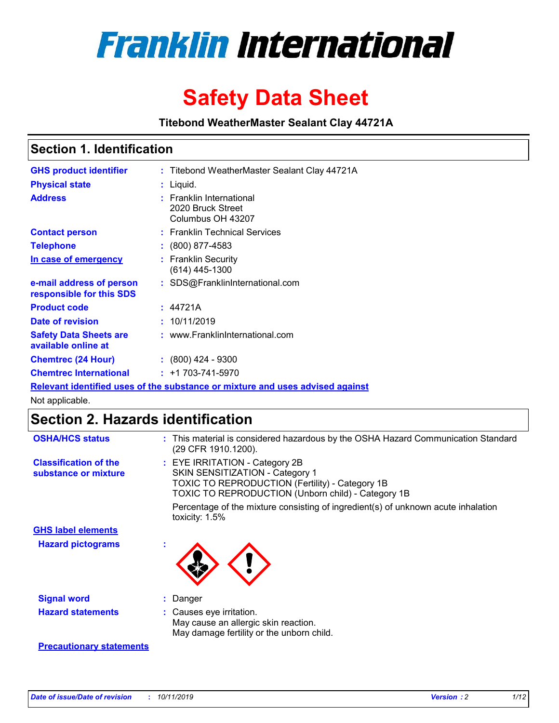

# **Safety Data Sheet**

**Titebond WeatherMaster Sealant Clay 44721A**

## **Section 1. Identification**

| <b>GHS product identifier</b>                        | : Titebond WeatherMaster Sealant Clay 44721A                                  |
|------------------------------------------------------|-------------------------------------------------------------------------------|
| <b>Physical state</b>                                | : Liquid.                                                                     |
| <b>Address</b>                                       | : Franklin International<br>2020 Bruck Street<br>Columbus OH 43207            |
| <b>Contact person</b>                                | : Franklin Technical Services                                                 |
| <b>Telephone</b>                                     | $\colon$ (800) 877-4583                                                       |
| In case of emergency                                 | : Franklin Security<br>(614) 445-1300                                         |
| e-mail address of person<br>responsible for this SDS | : SDS@FranklinInternational.com                                               |
| <b>Product code</b>                                  | : 44721A                                                                      |
| Date of revision                                     | : 10/11/2019                                                                  |
| <b>Safety Data Sheets are</b><br>available online at | : www.FranklinInternational.com                                               |
| <b>Chemtrec (24 Hour)</b>                            | $: (800)$ 424 - 9300                                                          |
| <b>Chemtrec International</b>                        | $: +1703 - 741 - 5970$                                                        |
|                                                      | Relevant identified uses of the substance or mixture and uses advised against |

Not applicable.

# **Section 2. Hazards identification**

| <b>OSHA/HCS status</b>                               | : This material is considered hazardous by the OSHA Hazard Communication Standard<br>(29 CFR 1910.1200).                                                                                 |
|------------------------------------------------------|------------------------------------------------------------------------------------------------------------------------------------------------------------------------------------------|
| <b>Classification of the</b><br>substance or mixture | : EYE IRRITATION - Category 2B<br>SKIN SENSITIZATION - Category 1<br><b>TOXIC TO REPRODUCTION (Fertility) - Category 1B</b><br><b>TOXIC TO REPRODUCTION (Unborn child) - Category 1B</b> |
|                                                      | Percentage of the mixture consisting of ingredient(s) of unknown acute inhalation<br>toxicity: $1.5\%$                                                                                   |
| <b>GHS label elements</b>                            |                                                                                                                                                                                          |
| <b>Hazard pictograms</b>                             |                                                                                                                                                                                          |
| <b>Signal word</b>                                   | : Danger                                                                                                                                                                                 |
| <b>Hazard statements</b>                             | : Causes eye irritation.<br>May cause an allergic skin reaction.<br>May damage fertility or the unborn child.                                                                            |
| <b>Precautionary statements</b>                      |                                                                                                                                                                                          |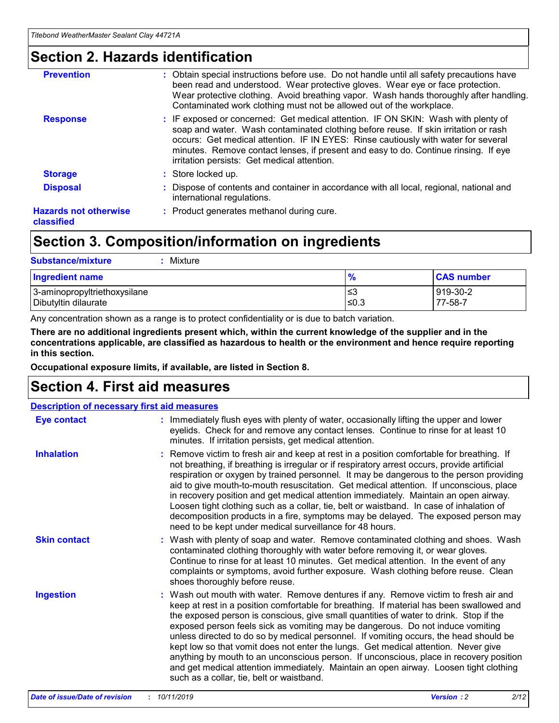# **Section 2. Hazards identification**

| <b>Prevention</b>                          | : Obtain special instructions before use. Do not handle until all safety precautions have<br>been read and understood. Wear protective gloves. Wear eye or face protection.<br>Wear protective clothing. Avoid breathing vapor. Wash hands thoroughly after handling.<br>Contaminated work clothing must not be allowed out of the workplace.                                                        |
|--------------------------------------------|------------------------------------------------------------------------------------------------------------------------------------------------------------------------------------------------------------------------------------------------------------------------------------------------------------------------------------------------------------------------------------------------------|
| <b>Response</b>                            | : IF exposed or concerned: Get medical attention. IF ON SKIN: Wash with plenty of<br>soap and water. Wash contaminated clothing before reuse. If skin irritation or rash<br>occurs: Get medical attention. IF IN EYES: Rinse cautiously with water for several<br>minutes. Remove contact lenses, if present and easy to do. Continue rinsing. If eye<br>irritation persists: Get medical attention. |
| <b>Storage</b>                             | : Store locked up.                                                                                                                                                                                                                                                                                                                                                                                   |
| <b>Disposal</b>                            | : Dispose of contents and container in accordance with all local, regional, national and<br>international regulations.                                                                                                                                                                                                                                                                               |
| <b>Hazards not otherwise</b><br>classified | : Product generates methanol during cure.                                                                                                                                                                                                                                                                                                                                                            |
|                                            |                                                                                                                                                                                                                                                                                                                                                                                                      |

# **Section 3. Composition/information on ingredients**

| <b>Substance/mixture</b><br>: Mixture                |               |                     |
|------------------------------------------------------|---------------|---------------------|
| Ingredient name                                      | $\frac{9}{6}$ | <b>CAS number</b>   |
| 3-aminopropyltriethoxysilane<br>Dibutyltin dilaurate | צ≥<br>≤0.3    | 919-30-2<br>77-58-7 |

Any concentration shown as a range is to protect confidentiality or is due to batch variation.

**There are no additional ingredients present which, within the current knowledge of the supplier and in the concentrations applicable, are classified as hazardous to health or the environment and hence require reporting in this section.**

**Occupational exposure limits, if available, are listed in Section 8.**

# **Section 4. First aid measures**

| <b>Description of necessary first aid measures</b> |                                                                                                                                                                                                                                                                                                                                                                                                                                                                                                                                                                                                                                                                                                                                                                           |  |  |  |
|----------------------------------------------------|---------------------------------------------------------------------------------------------------------------------------------------------------------------------------------------------------------------------------------------------------------------------------------------------------------------------------------------------------------------------------------------------------------------------------------------------------------------------------------------------------------------------------------------------------------------------------------------------------------------------------------------------------------------------------------------------------------------------------------------------------------------------------|--|--|--|
| <b>Eye contact</b>                                 | : Immediately flush eyes with plenty of water, occasionally lifting the upper and lower<br>eyelids. Check for and remove any contact lenses. Continue to rinse for at least 10<br>minutes. If irritation persists, get medical attention.                                                                                                                                                                                                                                                                                                                                                                                                                                                                                                                                 |  |  |  |
| <b>Inhalation</b>                                  | : Remove victim to fresh air and keep at rest in a position comfortable for breathing. If<br>not breathing, if breathing is irregular or if respiratory arrest occurs, provide artificial<br>respiration or oxygen by trained personnel. It may be dangerous to the person providing<br>aid to give mouth-to-mouth resuscitation. Get medical attention. If unconscious, place<br>in recovery position and get medical attention immediately. Maintain an open airway.<br>Loosen tight clothing such as a collar, tie, belt or waistband. In case of inhalation of<br>decomposition products in a fire, symptoms may be delayed. The exposed person may<br>need to be kept under medical surveillance for 48 hours.                                                       |  |  |  |
| <b>Skin contact</b>                                | : Wash with plenty of soap and water. Remove contaminated clothing and shoes. Wash<br>contaminated clothing thoroughly with water before removing it, or wear gloves.<br>Continue to rinse for at least 10 minutes. Get medical attention. In the event of any<br>complaints or symptoms, avoid further exposure. Wash clothing before reuse. Clean<br>shoes thoroughly before reuse.                                                                                                                                                                                                                                                                                                                                                                                     |  |  |  |
| <b>Ingestion</b>                                   | : Wash out mouth with water. Remove dentures if any. Remove victim to fresh air and<br>keep at rest in a position comfortable for breathing. If material has been swallowed and<br>the exposed person is conscious, give small quantities of water to drink. Stop if the<br>exposed person feels sick as vomiting may be dangerous. Do not induce vomiting<br>unless directed to do so by medical personnel. If vomiting occurs, the head should be<br>kept low so that vomit does not enter the lungs. Get medical attention. Never give<br>anything by mouth to an unconscious person. If unconscious, place in recovery position<br>and get medical attention immediately. Maintain an open airway. Loosen tight clothing<br>such as a collar, tie, belt or waistband. |  |  |  |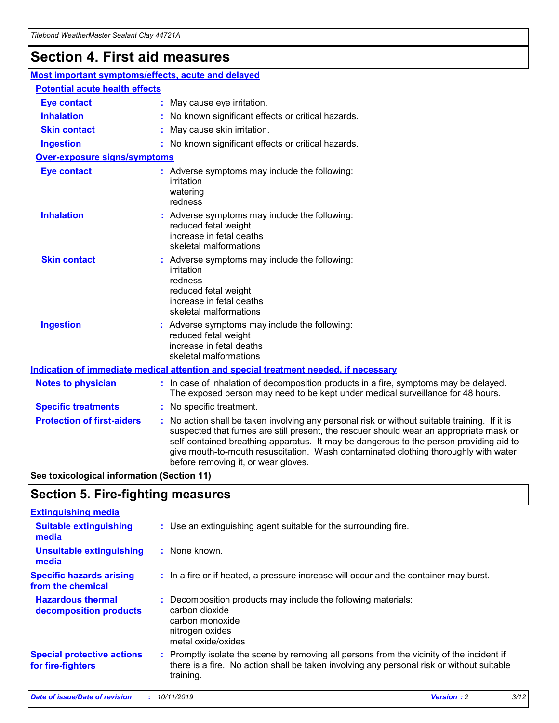# **Section 4. First aid measures**

| Most important symptoms/effects, acute and delayed |  |                                                                                                                                                                                                                                                                                                                                                                                                                 |  |  |
|----------------------------------------------------|--|-----------------------------------------------------------------------------------------------------------------------------------------------------------------------------------------------------------------------------------------------------------------------------------------------------------------------------------------------------------------------------------------------------------------|--|--|
| <b>Potential acute health effects</b>              |  |                                                                                                                                                                                                                                                                                                                                                                                                                 |  |  |
| <b>Eye contact</b>                                 |  | : May cause eye irritation.                                                                                                                                                                                                                                                                                                                                                                                     |  |  |
| <b>Inhalation</b>                                  |  | : No known significant effects or critical hazards.                                                                                                                                                                                                                                                                                                                                                             |  |  |
| <b>Skin contact</b>                                |  | : May cause skin irritation.                                                                                                                                                                                                                                                                                                                                                                                    |  |  |
| <b>Ingestion</b>                                   |  | : No known significant effects or critical hazards.                                                                                                                                                                                                                                                                                                                                                             |  |  |
| Over-exposure signs/symptoms                       |  |                                                                                                                                                                                                                                                                                                                                                                                                                 |  |  |
| <b>Eye contact</b>                                 |  | : Adverse symptoms may include the following:<br>irritation<br>watering<br>redness                                                                                                                                                                                                                                                                                                                              |  |  |
| <b>Inhalation</b>                                  |  | : Adverse symptoms may include the following:<br>reduced fetal weight<br>increase in fetal deaths<br>skeletal malformations                                                                                                                                                                                                                                                                                     |  |  |
| <b>Skin contact</b>                                |  | : Adverse symptoms may include the following:<br>irritation<br>redness<br>reduced fetal weight<br>increase in fetal deaths<br>skeletal malformations                                                                                                                                                                                                                                                            |  |  |
| <b>Ingestion</b>                                   |  | : Adverse symptoms may include the following:<br>reduced fetal weight<br>increase in fetal deaths<br>skeletal malformations                                                                                                                                                                                                                                                                                     |  |  |
|                                                    |  | <b>Indication of immediate medical attention and special treatment needed, if necessary</b>                                                                                                                                                                                                                                                                                                                     |  |  |
| <b>Notes to physician</b>                          |  | : In case of inhalation of decomposition products in a fire, symptoms may be delayed.<br>The exposed person may need to be kept under medical surveillance for 48 hours.                                                                                                                                                                                                                                        |  |  |
| <b>Specific treatments</b>                         |  | : No specific treatment.                                                                                                                                                                                                                                                                                                                                                                                        |  |  |
| <b>Protection of first-aiders</b>                  |  | : No action shall be taken involving any personal risk or without suitable training. If it is<br>suspected that fumes are still present, the rescuer should wear an appropriate mask or<br>self-contained breathing apparatus. It may be dangerous to the person providing aid to<br>give mouth-to-mouth resuscitation. Wash contaminated clothing thoroughly with water<br>before removing it, or wear gloves. |  |  |

**See toxicological information (Section 11)**

# **Section 5. Fire-fighting measures**

| <b>Extinguishing media</b>                             |                                                                                                                                                                                                     |
|--------------------------------------------------------|-----------------------------------------------------------------------------------------------------------------------------------------------------------------------------------------------------|
| <b>Suitable extinguishing</b><br>media                 | : Use an extinguishing agent suitable for the surrounding fire.                                                                                                                                     |
| <b>Unsuitable extinguishing</b><br>media               | $:$ None known.                                                                                                                                                                                     |
| <b>Specific hazards arising</b><br>from the chemical   | : In a fire or if heated, a pressure increase will occur and the container may burst.                                                                                                               |
| <b>Hazardous thermal</b><br>decomposition products     | : Decomposition products may include the following materials:<br>carbon dioxide<br>carbon monoxide<br>nitrogen oxides<br>metal oxide/oxides                                                         |
| <b>Special protective actions</b><br>for fire-fighters | : Promptly isolate the scene by removing all persons from the vicinity of the incident if<br>there is a fire. No action shall be taken involving any personal risk or without suitable<br>training. |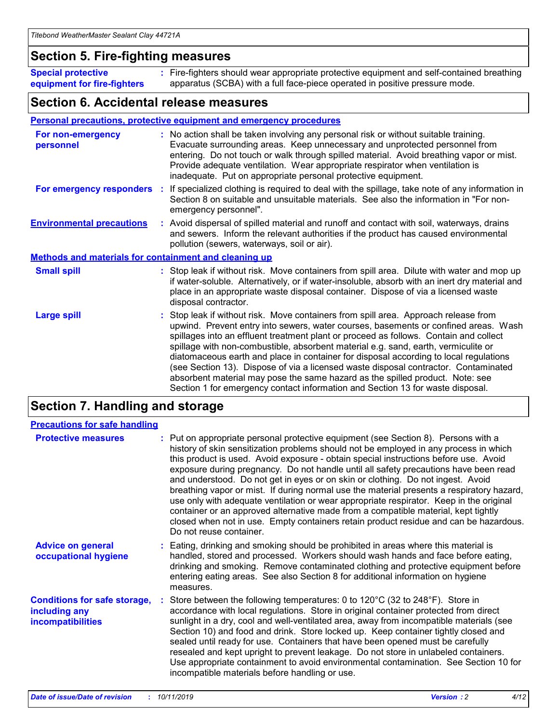## **Section 5. Fire-fighting measures**

**Special protective equipment for fire-fighters** Fire-fighters should wear appropriate protective equipment and self-contained breathing **:** apparatus (SCBA) with a full face-piece operated in positive pressure mode.

## **Section 6. Accidental release measures**

#### **Personal precautions, protective equipment and emergency procedures**

| For non-emergency<br>personnel                               | : No action shall be taken involving any personal risk or without suitable training.<br>Evacuate surrounding areas. Keep unnecessary and unprotected personnel from<br>entering. Do not touch or walk through spilled material. Avoid breathing vapor or mist.<br>Provide adequate ventilation. Wear appropriate respirator when ventilation is<br>inadequate. Put on appropriate personal protective equipment.                                                                                                                                                                                                                                                                                             |
|--------------------------------------------------------------|--------------------------------------------------------------------------------------------------------------------------------------------------------------------------------------------------------------------------------------------------------------------------------------------------------------------------------------------------------------------------------------------------------------------------------------------------------------------------------------------------------------------------------------------------------------------------------------------------------------------------------------------------------------------------------------------------------------|
|                                                              | For emergency responders : If specialized clothing is required to deal with the spillage, take note of any information in<br>Section 8 on suitable and unsuitable materials. See also the information in "For non-<br>emergency personnel".                                                                                                                                                                                                                                                                                                                                                                                                                                                                  |
| <b>Environmental precautions</b>                             | : Avoid dispersal of spilled material and runoff and contact with soil, waterways, drains<br>and sewers. Inform the relevant authorities if the product has caused environmental<br>pollution (sewers, waterways, soil or air).                                                                                                                                                                                                                                                                                                                                                                                                                                                                              |
| <b>Methods and materials for containment and cleaning up</b> |                                                                                                                                                                                                                                                                                                                                                                                                                                                                                                                                                                                                                                                                                                              |
| <b>Small spill</b>                                           | : Stop leak if without risk. Move containers from spill area. Dilute with water and mop up<br>if water-soluble. Alternatively, or if water-insoluble, absorb with an inert dry material and<br>place in an appropriate waste disposal container. Dispose of via a licensed waste<br>disposal contractor.                                                                                                                                                                                                                                                                                                                                                                                                     |
| <b>Large spill</b>                                           | : Stop leak if without risk. Move containers from spill area. Approach release from<br>upwind. Prevent entry into sewers, water courses, basements or confined areas. Wash<br>spillages into an effluent treatment plant or proceed as follows. Contain and collect<br>spillage with non-combustible, absorbent material e.g. sand, earth, vermiculite or<br>diatomaceous earth and place in container for disposal according to local regulations<br>(see Section 13). Dispose of via a licensed waste disposal contractor. Contaminated<br>absorbent material may pose the same hazard as the spilled product. Note: see<br>Section 1 for emergency contact information and Section 13 for waste disposal. |

# **Section 7. Handling and storage**

| <b>Precautions for safe handling</b>                                             |                                                                                                                                                                                                                                                                                                                                                                                                                                                                                                                                                                                                                                                                                                                                                                                                                                                  |
|----------------------------------------------------------------------------------|--------------------------------------------------------------------------------------------------------------------------------------------------------------------------------------------------------------------------------------------------------------------------------------------------------------------------------------------------------------------------------------------------------------------------------------------------------------------------------------------------------------------------------------------------------------------------------------------------------------------------------------------------------------------------------------------------------------------------------------------------------------------------------------------------------------------------------------------------|
| <b>Protective measures</b>                                                       | : Put on appropriate personal protective equipment (see Section 8). Persons with a<br>history of skin sensitization problems should not be employed in any process in which<br>this product is used. Avoid exposure - obtain special instructions before use. Avoid<br>exposure during pregnancy. Do not handle until all safety precautions have been read<br>and understood. Do not get in eyes or on skin or clothing. Do not ingest. Avoid<br>breathing vapor or mist. If during normal use the material presents a respiratory hazard,<br>use only with adequate ventilation or wear appropriate respirator. Keep in the original<br>container or an approved alternative made from a compatible material, kept tightly<br>closed when not in use. Empty containers retain product residue and can be hazardous.<br>Do not reuse container. |
| <b>Advice on general</b><br>occupational hygiene                                 | : Eating, drinking and smoking should be prohibited in areas where this material is<br>handled, stored and processed. Workers should wash hands and face before eating,<br>drinking and smoking. Remove contaminated clothing and protective equipment before<br>entering eating areas. See also Section 8 for additional information on hygiene<br>measures.                                                                                                                                                                                                                                                                                                                                                                                                                                                                                    |
| <b>Conditions for safe storage,</b><br>including any<br><b>incompatibilities</b> | Store between the following temperatures: 0 to 120 $\degree$ C (32 to 248 $\degree$ F). Store in<br>accordance with local regulations. Store in original container protected from direct<br>sunlight in a dry, cool and well-ventilated area, away from incompatible materials (see<br>Section 10) and food and drink. Store locked up. Keep container tightly closed and<br>sealed until ready for use. Containers that have been opened must be carefully<br>resealed and kept upright to prevent leakage. Do not store in unlabeled containers.<br>Use appropriate containment to avoid environmental contamination. See Section 10 for<br>incompatible materials before handling or use.                                                                                                                                                     |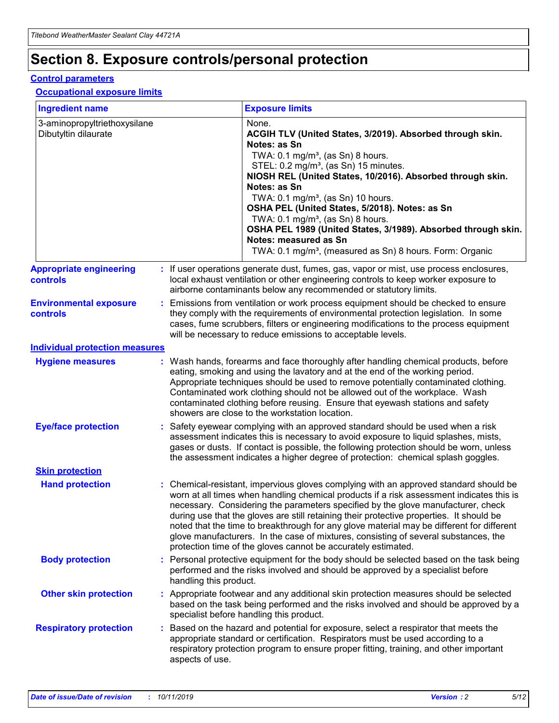# **Section 8. Exposure controls/personal protection**

#### **Control parameters**

#### **Occupational exposure limits**

| <b>Ingredient name</b>                               |    |                        | <b>Exposure limits</b>                                                                                                                                                                                                                                                                                                                                                                                                                                                                                                                                                                                                 |
|------------------------------------------------------|----|------------------------|------------------------------------------------------------------------------------------------------------------------------------------------------------------------------------------------------------------------------------------------------------------------------------------------------------------------------------------------------------------------------------------------------------------------------------------------------------------------------------------------------------------------------------------------------------------------------------------------------------------------|
| 3-aminopropyltriethoxysilane<br>Dibutyltin dilaurate |    |                        | None.<br>ACGIH TLV (United States, 3/2019). Absorbed through skin.<br>Notes: as Sn<br>TWA: $0.1 \text{ mg/m}^3$ , (as Sn) 8 hours.<br>STEL: 0.2 mg/m <sup>3</sup> , (as Sn) 15 minutes.<br>NIOSH REL (United States, 10/2016). Absorbed through skin.<br>Notes: as Sn<br>TWA: 0.1 mg/m <sup>3</sup> , (as Sn) 10 hours.<br>OSHA PEL (United States, 5/2018). Notes: as Sn<br>TWA: 0.1 mg/m <sup>3</sup> , (as Sn) 8 hours.<br>OSHA PEL 1989 (United States, 3/1989). Absorbed through skin.<br>Notes: measured as Sn<br>TWA: 0.1 mg/m <sup>3</sup> , (measured as Sn) 8 hours. Form: Organic                           |
| <b>Appropriate engineering</b><br>controls           |    |                        | : If user operations generate dust, fumes, gas, vapor or mist, use process enclosures,<br>local exhaust ventilation or other engineering controls to keep worker exposure to<br>airborne contaminants below any recommended or statutory limits.                                                                                                                                                                                                                                                                                                                                                                       |
| <b>Environmental exposure</b><br>controls            |    |                        | Emissions from ventilation or work process equipment should be checked to ensure<br>they comply with the requirements of environmental protection legislation. In some<br>cases, fume scrubbers, filters or engineering modifications to the process equipment<br>will be necessary to reduce emissions to acceptable levels.                                                                                                                                                                                                                                                                                          |
| <b>Individual protection measures</b>                |    |                        |                                                                                                                                                                                                                                                                                                                                                                                                                                                                                                                                                                                                                        |
| <b>Hygiene measures</b>                              |    |                        | : Wash hands, forearms and face thoroughly after handling chemical products, before<br>eating, smoking and using the lavatory and at the end of the working period.<br>Appropriate techniques should be used to remove potentially contaminated clothing.<br>Contaminated work clothing should not be allowed out of the workplace. Wash<br>contaminated clothing before reusing. Ensure that eyewash stations and safety<br>showers are close to the workstation location.                                                                                                                                            |
| <b>Eye/face protection</b>                           |    |                        | Safety eyewear complying with an approved standard should be used when a risk<br>assessment indicates this is necessary to avoid exposure to liquid splashes, mists,<br>gases or dusts. If contact is possible, the following protection should be worn, unless<br>the assessment indicates a higher degree of protection: chemical splash goggles.                                                                                                                                                                                                                                                                    |
| <b>Skin protection</b>                               |    |                        |                                                                                                                                                                                                                                                                                                                                                                                                                                                                                                                                                                                                                        |
| <b>Hand protection</b>                               |    |                        | : Chemical-resistant, impervious gloves complying with an approved standard should be<br>worn at all times when handling chemical products if a risk assessment indicates this is<br>necessary. Considering the parameters specified by the glove manufacturer, check<br>during use that the gloves are still retaining their protective properties. It should be<br>noted that the time to breakthrough for any glove material may be different for different<br>glove manufacturers. In the case of mixtures, consisting of several substances, the<br>protection time of the gloves cannot be accurately estimated. |
| <b>Body protection</b>                               |    | handling this product. | Personal protective equipment for the body should be selected based on the task being<br>performed and the risks involved and should be approved by a specialist before                                                                                                                                                                                                                                                                                                                                                                                                                                                |
| <b>Other skin protection</b>                         |    |                        | : Appropriate footwear and any additional skin protection measures should be selected<br>based on the task being performed and the risks involved and should be approved by a<br>specialist before handling this product.                                                                                                                                                                                                                                                                                                                                                                                              |
| <b>Respiratory protection</b>                        | ÷. | aspects of use.        | Based on the hazard and potential for exposure, select a respirator that meets the<br>appropriate standard or certification. Respirators must be used according to a<br>respiratory protection program to ensure proper fitting, training, and other important                                                                                                                                                                                                                                                                                                                                                         |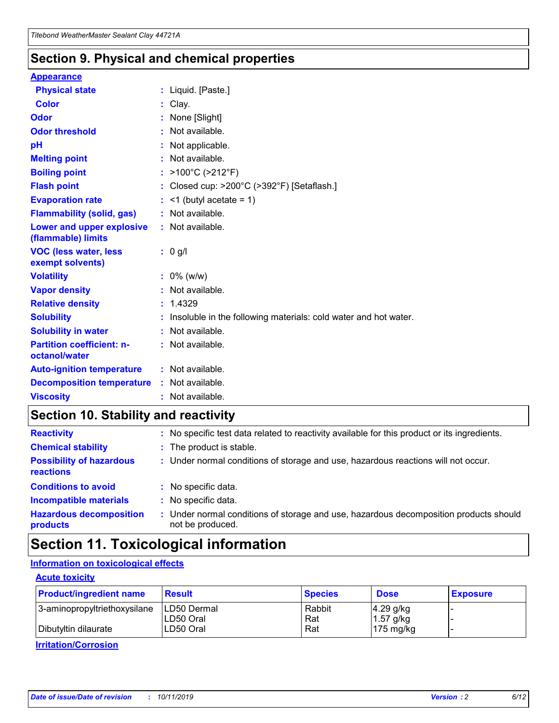## **Section 9. Physical and chemical properties**

#### **Appearance**

| <b>Physical state</b>                             | : Liquid. [Paste.]                                              |
|---------------------------------------------------|-----------------------------------------------------------------|
| Color                                             | Clay.                                                           |
| Odor                                              | : None [Slight]                                                 |
| <b>Odor threshold</b>                             | $:$ Not available.                                              |
| рH                                                | : Not applicable.                                               |
| <b>Melting point</b>                              | : Not available.                                                |
| <b>Boiling point</b>                              | : >100°C (>212°F)                                               |
| <b>Flash point</b>                                | : Closed cup: >200°C (>392°F) [Setaflash.]                      |
| <b>Evaporation rate</b>                           | $:$ <1 (butyl acetate = 1)                                      |
| <b>Flammability (solid, gas)</b>                  | : Not available.                                                |
| Lower and upper explosive<br>(flammable) limits   | : Not available.                                                |
| <b>VOC (less water, less</b><br>exempt solvents)  | : 0 g/l                                                         |
| <b>Volatility</b>                                 | $: 0\%$ (w/w)                                                   |
| <b>Vapor density</b>                              | : Not available.                                                |
| <b>Relative density</b>                           | : 1.4329                                                        |
| <b>Solubility</b>                                 | Insoluble in the following materials: cold water and hot water. |
| <b>Solubility in water</b>                        | : Not available.                                                |
| <b>Partition coefficient: n-</b><br>octanol/water | $:$ Not available.                                              |
| <b>Auto-ignition temperature</b>                  | : Not available.                                                |
| <b>Decomposition temperature</b>                  | : Not available.                                                |
| <b>Viscosity</b>                                  |                                                                 |

# **Section 10. Stability and reactivity**

| <b>Reactivity</b>                            |    | : No specific test data related to reactivity available for this product or its ingredients.            |
|----------------------------------------------|----|---------------------------------------------------------------------------------------------------------|
| <b>Chemical stability</b>                    |    | : The product is stable.                                                                                |
| <b>Possibility of hazardous</b><br>reactions |    | : Under normal conditions of storage and use, hazardous reactions will not occur.                       |
| <b>Conditions to avoid</b>                   |    | : No specific data.                                                                                     |
| <b>Incompatible materials</b>                | ٠. | No specific data.                                                                                       |
| <b>Hazardous decomposition</b><br>products   | ÷. | Under normal conditions of storage and use, hazardous decomposition products should<br>not be produced. |

# **Section 11. Toxicological information**

### **Information on toxicological effects**

#### **Acute toxicity**

| <b>Product/ingredient name</b> | <b>Result</b>           | <b>Species</b> | <b>Dose</b>                | <b>Exposure</b> |
|--------------------------------|-------------------------|----------------|----------------------------|-----------------|
| 3-aminopropyltriethoxysilane   | <b>ILD50 Dermal</b>     | Rabbit         | 4.29 g/kg                  |                 |
| Dibutyltin dilaurate           | ILD50 Oral<br>LD50 Oral | Rat<br>Rat     | $1.57$ g/kg<br>175 $mg/kg$ |                 |
|                                |                         |                |                            |                 |

**Irritation/Corrosion**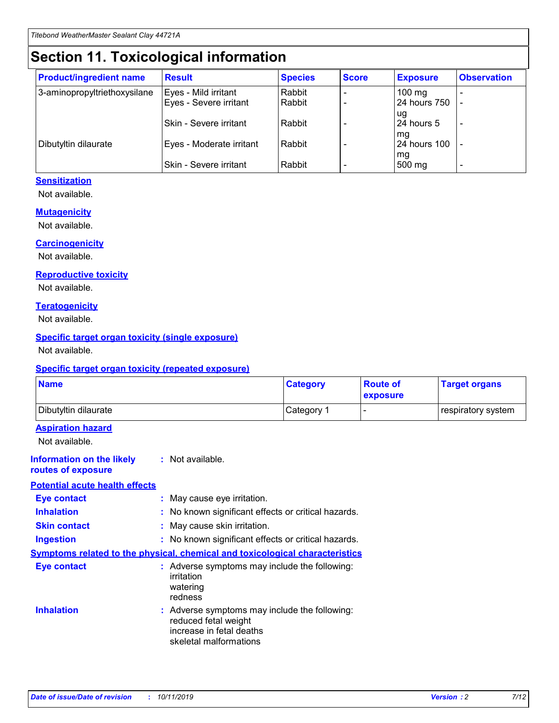# **Section 11. Toxicological information**

| <b>Product/ingredient name</b> | <b>Result</b>            | <b>Species</b> | <b>Score</b> | <b>Exposure</b>           | <b>Observation</b> |
|--------------------------------|--------------------------|----------------|--------------|---------------------------|--------------------|
| 3-aminopropyltriethoxysilane   | Eyes - Mild irritant     | Rabbit         |              | $100 \text{ mg}$          |                    |
|                                | Eyes - Severe irritant   | Rabbit         |              | 24 hours 750              |                    |
|                                |                          |                |              | ug                        |                    |
|                                | Skin - Severe irritant   | Rabbit         |              | 24 hours 5                | -                  |
| Dibutyltin dilaurate           | Eyes - Moderate irritant | Rabbit         |              | mq<br><b>24 hours 100</b> |                    |
|                                |                          |                |              | mg                        |                    |
|                                | Skin - Severe irritant   | Rabbit         |              | 500 mg                    | -                  |

#### **Sensitization**

Not available.

#### **Mutagenicity**

Not available.

#### **Carcinogenicity**

Not available.

#### **Reproductive toxicity**

Not available.

#### **Teratogenicity**

Not available.

#### **Specific target organ toxicity (single exposure)**

Not available.

#### **Specific target organ toxicity (repeated exposure)**

| <b>Name</b>                                                                  |                                                                            | <b>Category</b>                                     | <b>Route of</b><br>exposure | <b>Target organs</b> |
|------------------------------------------------------------------------------|----------------------------------------------------------------------------|-----------------------------------------------------|-----------------------------|----------------------|
| Dibutyltin dilaurate                                                         |                                                                            | Category 1                                          | -                           | respiratory system   |
| <b>Aspiration hazard</b><br>Not available.                                   |                                                                            |                                                     |                             |                      |
| <b>Information on the likely</b><br>routes of exposure                       | : Not available.                                                           |                                                     |                             |                      |
| <b>Potential acute health effects</b>                                        |                                                                            |                                                     |                             |                      |
| <b>Eye contact</b>                                                           | : May cause eye irritation.                                                |                                                     |                             |                      |
| <b>Inhalation</b>                                                            |                                                                            | : No known significant effects or critical hazards. |                             |                      |
| <b>Skin contact</b>                                                          | : May cause skin irritation.                                               |                                                     |                             |                      |
| <b>Ingestion</b>                                                             |                                                                            | : No known significant effects or critical hazards. |                             |                      |
| Symptoms related to the physical, chemical and toxicological characteristics |                                                                            |                                                     |                             |                      |
| <b>Eye contact</b>                                                           | irritation<br>watering<br>redness                                          | : Adverse symptoms may include the following:       |                             |                      |
| <b>Inhalation</b>                                                            | reduced fetal weight<br>increase in fetal deaths<br>skeletal malformations | : Adverse symptoms may include the following:       |                             |                      |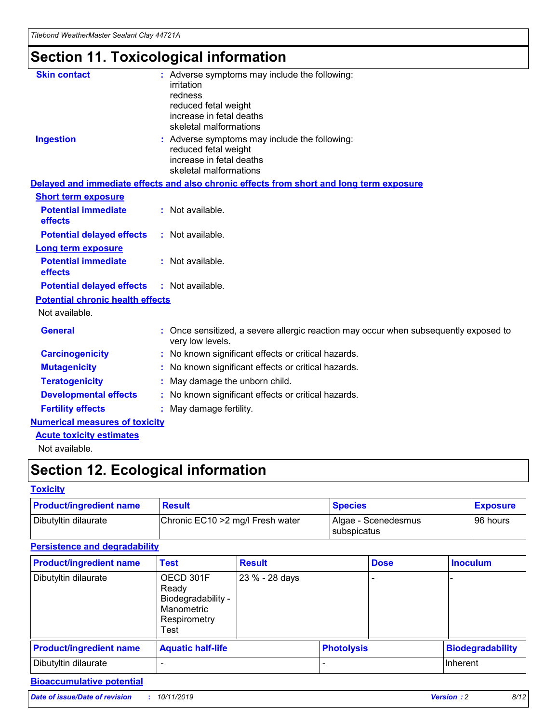# **Section 11. Toxicological information**

| <b>Skin contact</b>                     |                                                                                                          |
|-----------------------------------------|----------------------------------------------------------------------------------------------------------|
|                                         | : Adverse symptoms may include the following:<br>irritation                                              |
|                                         | redness                                                                                                  |
|                                         | reduced fetal weight                                                                                     |
|                                         | increase in fetal deaths                                                                                 |
|                                         | skeletal malformations                                                                                   |
| <b>Ingestion</b>                        | : Adverse symptoms may include the following:                                                            |
|                                         | reduced fetal weight                                                                                     |
|                                         | increase in fetal deaths                                                                                 |
|                                         | skeletal malformations                                                                                   |
|                                         | Delayed and immediate effects and also chronic effects from short and long term exposure                 |
| <b>Short term exposure</b>              |                                                                                                          |
| <b>Potential immediate</b>              | : Not available.                                                                                         |
| effects                                 |                                                                                                          |
| <b>Potential delayed effects</b>        | : Not available.                                                                                         |
| <b>Long term exposure</b>               |                                                                                                          |
| <b>Potential immediate</b>              | : Not available.                                                                                         |
| effects                                 |                                                                                                          |
| <b>Potential delayed effects</b>        | : Not available.                                                                                         |
| <b>Potential chronic health effects</b> |                                                                                                          |
| Not available.                          |                                                                                                          |
| <b>General</b>                          | : Once sensitized, a severe allergic reaction may occur when subsequently exposed to<br>very low levels. |
| <b>Carcinogenicity</b>                  | : No known significant effects or critical hazards.                                                      |
| <b>Mutagenicity</b>                     | No known significant effects or critical hazards.                                                        |
| <b>Teratogenicity</b>                   | May damage the unborn child.                                                                             |
| <b>Developmental effects</b>            | No known significant effects or critical hazards.                                                        |
| <b>Fertility effects</b>                | : May damage fertility.                                                                                  |
| <b>Numerical measures of toxicity</b>   |                                                                                                          |
| <b>Acute toxicity estimates</b>         |                                                                                                          |
|                                         |                                                                                                          |

Not available.

# **Section 12. Ecological information**

#### **Toxicity**

| <b>Product/ingredient name</b> | <b>Result</b>                     | <b>Species</b>                       | <b>Exposure</b> |
|--------------------------------|-----------------------------------|--------------------------------------|-----------------|
| Dibutyltin dilaurate           | Chronic EC10 > 2 mg/l Fresh water | Algae - Scenedesmus<br>I subspicatus | l 96 hours      |

## **Persistence and degradability**

| <b>Product/ingredient name</b> | <b>Test</b>                                                                    | <b>Result</b>  |                   | <b>Dose</b> | <b>Inoculum</b>         |
|--------------------------------|--------------------------------------------------------------------------------|----------------|-------------------|-------------|-------------------------|
| Dibutyltin dilaurate           | OECD 301F<br>Ready<br>Biodegradability -<br>Manometric<br>Respirometry<br>Test | 23 % - 28 days |                   |             |                         |
| <b>Product/ingredient name</b> | <b>Aquatic half-life</b>                                                       |                | <b>Photolysis</b> |             | <b>Biodegradability</b> |
| Dibutyltin dilaurate           |                                                                                |                |                   |             | Inherent                |

## **Bioaccumulative potential**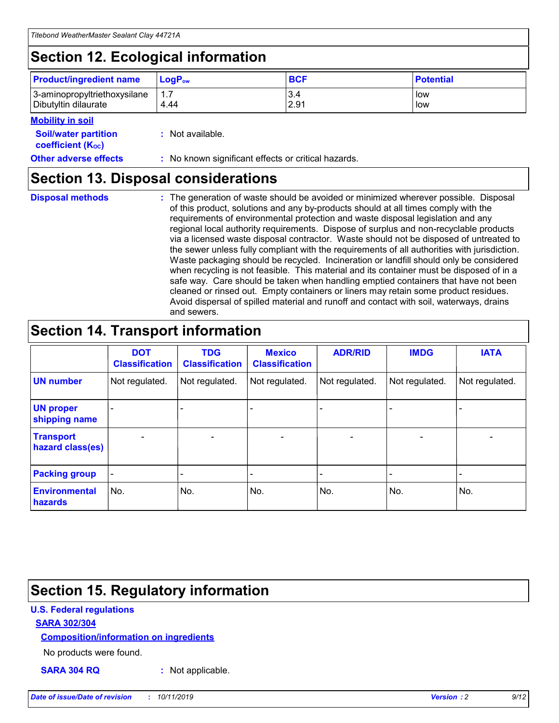# **Section 12. Ecological information**

| <b>Product/ingredient name</b>                       | ∣LoqP <sub>ow</sub> | <b>BCF</b>  | <b>Potential</b> |
|------------------------------------------------------|---------------------|-------------|------------------|
| 3-aminopropyltriethoxysilane<br>Dibutyltin dilaurate | 4.44                | 3.4<br>2.91 | low<br>low       |

#### **Mobility in soil**

| <i></i>                                                       |                                                     |
|---------------------------------------------------------------|-----------------------------------------------------|
| <b>Soil/water partition</b><br>coefficient (K <sub>oc</sub> ) | : Not available.                                    |
| <b>Other adverse effects</b>                                  | : No known significant effects or critical hazards. |

## **Section 13. Disposal considerations**

**Disposal methods :**

The generation of waste should be avoided or minimized wherever possible. Disposal of this product, solutions and any by-products should at all times comply with the requirements of environmental protection and waste disposal legislation and any regional local authority requirements. Dispose of surplus and non-recyclable products via a licensed waste disposal contractor. Waste should not be disposed of untreated to the sewer unless fully compliant with the requirements of all authorities with jurisdiction. Waste packaging should be recycled. Incineration or landfill should only be considered when recycling is not feasible. This material and its container must be disposed of in a safe way. Care should be taken when handling emptied containers that have not been cleaned or rinsed out. Empty containers or liners may retain some product residues. Avoid dispersal of spilled material and runoff and contact with soil, waterways, drains and sewers.

# **Section 14. Transport information**

|                                      | <b>DOT</b><br><b>Classification</b> | <b>TDG</b><br><b>Classification</b> | <b>Mexico</b><br><b>Classification</b> | <b>ADR/RID</b>           | <b>IMDG</b>              | <b>IATA</b>              |
|--------------------------------------|-------------------------------------|-------------------------------------|----------------------------------------|--------------------------|--------------------------|--------------------------|
| <b>UN number</b>                     | Not regulated.                      | Not regulated.                      | Not regulated.                         | Not regulated.           | Not regulated.           | Not regulated.           |
| <b>UN proper</b><br>shipping name    | $\qquad \qquad \blacksquare$        |                                     |                                        |                          |                          |                          |
| <b>Transport</b><br>hazard class(es) | $\blacksquare$                      | $\blacksquare$                      | $\blacksquare$                         | $\overline{\phantom{a}}$ | $\blacksquare$           | $\blacksquare$           |
| <b>Packing group</b>                 | $\overline{\phantom{a}}$            | $\overline{\phantom{0}}$            | $\qquad \qquad \blacksquare$           | -                        | $\overline{\phantom{0}}$ | $\overline{\phantom{a}}$ |
| <b>Environmental</b><br>hazards      | No.                                 | No.                                 | No.                                    | No.                      | No.                      | No.                      |

# **Section 15. Regulatory information**

#### **U.S. Federal regulations**

#### **SARA 302/304**

#### **Composition/information on ingredients**

No products were found.

**SARA 304 RQ :** Not applicable.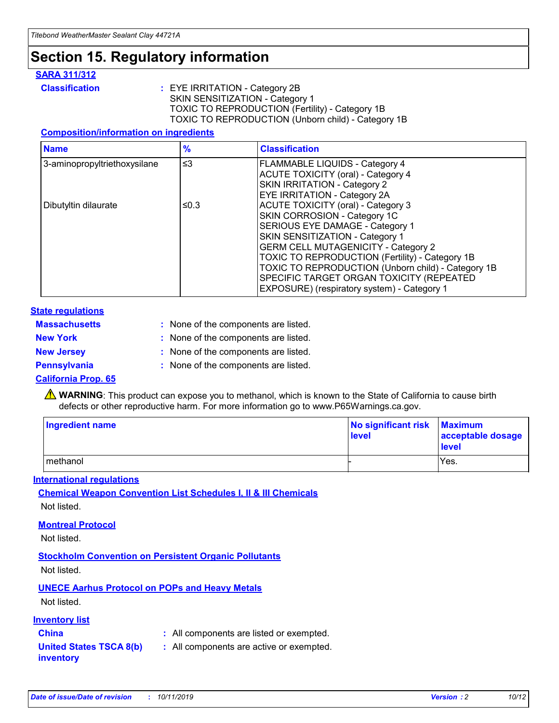# **Section 15. Regulatory information**

#### **SARA 311/312**

**Classification :** EYE IRRITATION - Category 2B SKIN SENSITIZATION - Category 1 TOXIC TO REPRODUCTION (Fertility) - Category 1B TOXIC TO REPRODUCTION (Unborn child) - Category 1B

#### **Composition/information on ingredients**

| <b>Name</b>                  | $\frac{9}{6}$ | <b>Classification</b>                                                                                            |
|------------------------------|---------------|------------------------------------------------------------------------------------------------------------------|
| 3-aminopropyltriethoxysilane | $\leq$ 3      | <b>FLAMMABLE LIQUIDS - Category 4</b><br><b>ACUTE TOXICITY (oral) - Category 4</b>                               |
|                              |               | SKIN IRRITATION - Category 2<br>EYE IRRITATION - Category 2A                                                     |
| Dibutyltin dilaurate         | ≤0.3          | ACUTE TOXICITY (oral) - Category 3<br>SKIN CORROSION - Category 1C                                               |
|                              |               | SERIOUS EYE DAMAGE - Category 1<br>SKIN SENSITIZATION - Category 1<br><b>GERM CELL MUTAGENICITY - Category 2</b> |
|                              |               | TOXIC TO REPRODUCTION (Fertility) - Category 1B<br>TOXIC TO REPRODUCTION (Unborn child) - Category 1B            |
|                              |               | SPECIFIC TARGET ORGAN TOXICITY (REPEATED<br>EXPOSURE) (respiratory system) - Category 1                          |

#### **State regulations**

| <b>Massachusetts</b> | : None of the components are listed. |
|----------------------|--------------------------------------|
| <b>New York</b>      | : None of the components are listed. |
| <b>New Jersey</b>    | : None of the components are listed. |
| <b>Pennsylvania</b>  | : None of the components are listed. |

#### **California Prop. 65**

**A** WARNING: This product can expose you to methanol, which is known to the State of California to cause birth defects or other reproductive harm. For more information go to www.P65Warnings.ca.gov.

| <b>Ingredient name</b> | No significant risk Maximum<br>level | acceptable dosage<br>level |
|------------------------|--------------------------------------|----------------------------|
| methanol               |                                      | Yes.                       |

#### **International regulations**

**Chemical Weapon Convention List Schedules I, II & III Chemicals** Not listed.

#### **Montreal Protocol**

Not listed.

#### **Stockholm Convention on Persistent Organic Pollutants**

Not listed.

### **UNECE Aarhus Protocol on POPs and Heavy Metals**

Not listed.

#### **Inventory list**

## **China :** All components are listed or exempted.

#### **United States TSCA 8(b) inventory :** All components are active or exempted.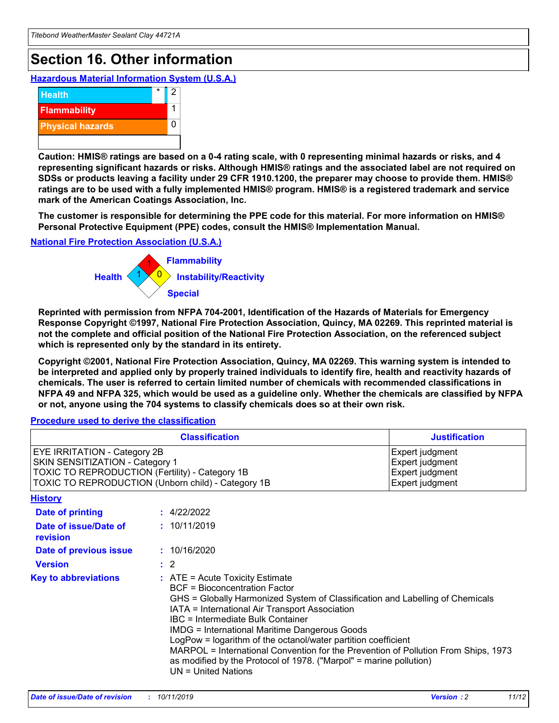# **Section 16. Other information**

**Hazardous Material Information System (U.S.A.)**



**Caution: HMIS® ratings are based on a 0-4 rating scale, with 0 representing minimal hazards or risks, and 4 representing significant hazards or risks. Although HMIS® ratings and the associated label are not required on SDSs or products leaving a facility under 29 CFR 1910.1200, the preparer may choose to provide them. HMIS® ratings are to be used with a fully implemented HMIS® program. HMIS® is a registered trademark and service mark of the American Coatings Association, Inc.**

**The customer is responsible for determining the PPE code for this material. For more information on HMIS® Personal Protective Equipment (PPE) codes, consult the HMIS® Implementation Manual.**

#### **National Fire Protection Association (U.S.A.)**



**Reprinted with permission from NFPA 704-2001, Identification of the Hazards of Materials for Emergency Response Copyright ©1997, National Fire Protection Association, Quincy, MA 02269. This reprinted material is not the complete and official position of the National Fire Protection Association, on the referenced subject which is represented only by the standard in its entirety.**

**Copyright ©2001, National Fire Protection Association, Quincy, MA 02269. This warning system is intended to be interpreted and applied only by properly trained individuals to identify fire, health and reactivity hazards of chemicals. The user is referred to certain limited number of chemicals with recommended classifications in NFPA 49 and NFPA 325, which would be used as a guideline only. Whether the chemicals are classified by NFPA or not, anyone using the 704 systems to classify chemicals does so at their own risk.**

**Procedure used to derive the classification**

| <b>Classification</b>                                                                                                                                                    |                                                                                                                                                  | <b>Justification</b>                                                                                                                                                                                                                                                                                                                                                                                                 |  |
|--------------------------------------------------------------------------------------------------------------------------------------------------------------------------|--------------------------------------------------------------------------------------------------------------------------------------------------|----------------------------------------------------------------------------------------------------------------------------------------------------------------------------------------------------------------------------------------------------------------------------------------------------------------------------------------------------------------------------------------------------------------------|--|
| EYE IRRITATION - Category 2B<br>SKIN SENSITIZATION - Category 1<br>TOXIC TO REPRODUCTION (Fertility) - Category 1B<br>TOXIC TO REPRODUCTION (Unborn child) - Category 1B |                                                                                                                                                  | Expert judgment<br>Expert judgment<br>Expert judgment<br>Expert judgment                                                                                                                                                                                                                                                                                                                                             |  |
| <b>History</b>                                                                                                                                                           |                                                                                                                                                  |                                                                                                                                                                                                                                                                                                                                                                                                                      |  |
| Date of printing                                                                                                                                                         | : 4/22/2022                                                                                                                                      |                                                                                                                                                                                                                                                                                                                                                                                                                      |  |
| Date of issue/Date of<br>revision                                                                                                                                        | : 10/11/2019                                                                                                                                     |                                                                                                                                                                                                                                                                                                                                                                                                                      |  |
| Date of previous issue                                                                                                                                                   | : 10/16/2020                                                                                                                                     |                                                                                                                                                                                                                                                                                                                                                                                                                      |  |
| <b>Version</b>                                                                                                                                                           | $\therefore$ 2                                                                                                                                   |                                                                                                                                                                                                                                                                                                                                                                                                                      |  |
| <b>Key to abbreviations</b>                                                                                                                                              | $\therefore$ ATE = Acute Toxicity Estimate<br><b>BCF</b> = Bioconcentration Factor<br>IBC = Intermediate Bulk Container<br>$UN = United Nations$ | GHS = Globally Harmonized System of Classification and Labelling of Chemicals<br>IATA = International Air Transport Association<br><b>IMDG = International Maritime Dangerous Goods</b><br>LogPow = logarithm of the octanol/water partition coefficient<br>MARPOL = International Convention for the Prevention of Pollution From Ships, 1973<br>as modified by the Protocol of 1978. ("Marpol" = marine pollution) |  |